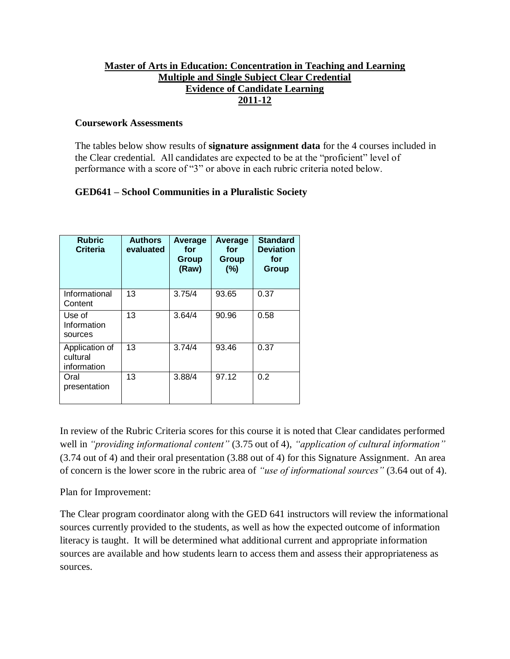### **Master of Arts in Education: Concentration in Teaching and Learning Multiple and Single Subject Clear Credential Evidence of Candidate Learning 2011-12**

#### **Coursework Assessments**

The tables below show results of **signature assignment data** for the 4 courses included in the Clear credential. All candidates are expected to be at the "proficient" level of performance with a score of "3" or above in each rubric criteria noted below.

### **GED641 – School Communities in a Pluralistic Society**

| <b>Rubric</b><br><b>Criteria</b>          | <b>Authors</b><br>evaluated | Average<br>for<br>Group<br>(Raw) | Average<br>for<br>Group<br>(%) | <b>Standard</b><br><b>Deviation</b><br>for<br>Group |
|-------------------------------------------|-----------------------------|----------------------------------|--------------------------------|-----------------------------------------------------|
| Informational<br>Content                  | 13                          | 3.75/4                           | 93.65                          | 0.37                                                |
| Use of<br>Information<br>sources          | 13                          | 3.64/4                           | 90.96                          | 0.58                                                |
| Application of<br>cultural<br>information | 13                          | 3.74/4                           | 93.46                          | 0.37                                                |
| Oral<br>presentation                      | 13                          | 3.88/4                           | 97.12                          | 0.2                                                 |

In review of the Rubric Criteria scores for this course it is noted that Clear candidates performed well in *"providing informational content"* (3.75 out of 4), *"application of cultural information"* (3.74 out of 4) and their oral presentation (3.88 out of 4) for this Signature Assignment. An area of concern is the lower score in the rubric area of *"use of informational sources"* (3.64 out of 4).

Plan for Improvement:

The Clear program coordinator along with the GED 641 instructors will review the informational sources currently provided to the students, as well as how the expected outcome of information literacy is taught. It will be determined what additional current and appropriate information sources are available and how students learn to access them and assess their appropriateness as sources.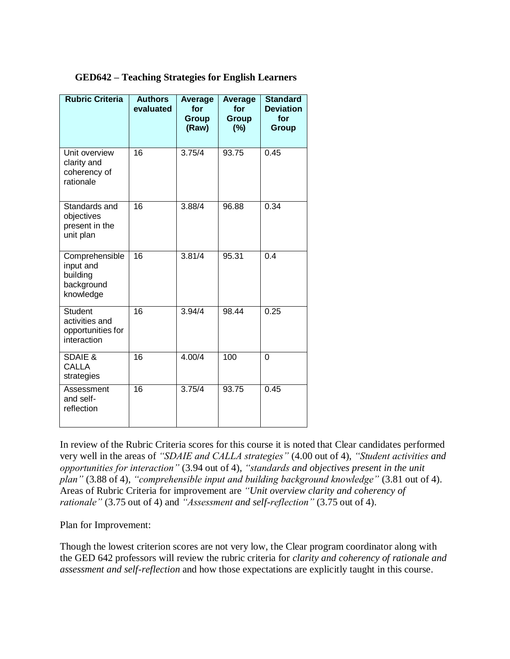|  | <b>GED642 - Teaching Strategies for English Learners</b> |  |
|--|----------------------------------------------------------|--|
|  |                                                          |  |

| <b>Rubric Criteria</b>                                               | <b>Authors</b><br>evaluated | Average<br>for<br>Group<br>(Raw) | Average<br>for<br><b>Group</b><br>(%) | <b>Standard</b><br><b>Deviation</b><br>for<br>Group |
|----------------------------------------------------------------------|-----------------------------|----------------------------------|---------------------------------------|-----------------------------------------------------|
| Unit overview<br>clarity and<br>coherency of<br>rationale            | 16                          | 3.75/4                           | 93.75                                 | 0.45                                                |
| Standards and<br>objectives<br>present in the<br>unit plan           | $\overline{16}$             | 3.88/4                           | 96.88                                 | 0.34                                                |
| Comprehensible<br>input and<br>building<br>background<br>knowledge   | $\overline{16}$             | 3.81/4                           | 95.31                                 | 0.4                                                 |
| <b>Student</b><br>activities and<br>opportunities for<br>interaction | 16                          | 3.94/4                           | 98.44                                 | 0.25                                                |
| <b>SDAIE &amp;</b><br><b>CALLA</b><br>strategies                     | 16                          | 4.00/4                           | 100                                   | $\overline{0}$                                      |
| Assessment<br>and self-<br>reflection                                | $\overline{16}$             | 3.75/4                           | 93.75                                 | 0.45                                                |

In review of the Rubric Criteria scores for this course it is noted that Clear candidates performed very well in the areas of *"SDAIE and CALLA strategies"* (4.00 out of 4), *"Student activities and opportunities for interaction"* (3.94 out of 4), *"standards and objectives present in the unit plan"* (3.88 of 4), *"comprehensible input and building background knowledge"* (3.81 out of 4). Areas of Rubric Criteria for improvement are *"Unit overview clarity and coherency of rationale"* (3.75 out of 4) and *"Assessment and self-reflection"* (3.75 out of 4).

Plan for Improvement:

Though the lowest criterion scores are not very low, the Clear program coordinator along with the GED 642 professors will review the rubric criteria for *clarity and coherency of rationale and assessment and self-reflection* and how those expectations are explicitly taught in this course.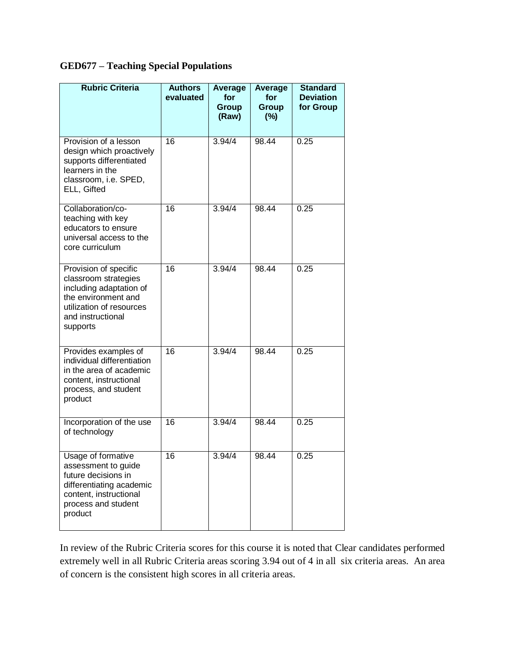# **GED677 – Teaching Special Populations**

| <b>Rubric Criteria</b>                                                                                                                                       | <b>Authors</b><br>evaluated | Average<br>for<br>Group<br>(Raw) | Average<br>for<br>Group<br>$(\%)$ | <b>Standard</b><br><b>Deviation</b><br>for Group |
|--------------------------------------------------------------------------------------------------------------------------------------------------------------|-----------------------------|----------------------------------|-----------------------------------|--------------------------------------------------|
| Provision of a lesson<br>design which proactively<br>supports differentiated<br>learners in the<br>classroom, i.e. SPED,<br>ELL, Gifted                      | 16                          | 3.94/4                           | 98.44                             | 0.25                                             |
| Collaboration/co-<br>teaching with key<br>educators to ensure<br>universal access to the<br>core curriculum                                                  | 16                          | 3.94/4                           | 98.44                             | 0.25                                             |
| Provision of specific<br>classroom strategies<br>including adaptation of<br>the environment and<br>utilization of resources<br>and instructional<br>supports | 16                          | 3.94/4                           | 98.44                             | 0.25                                             |
| Provides examples of<br>individual differentiation<br>in the area of academic<br>content, instructional<br>process, and student<br>product                   | 16                          | 3.94/4                           | 98.44                             | 0.25                                             |
| Incorporation of the use<br>of technology                                                                                                                    | 16                          | 3.94/4                           | 98.44                             | 0.25                                             |
| Usage of formative<br>assessment to guide<br>future decisions in<br>differentiating academic<br>content, instructional<br>process and student<br>product     | 16                          | 3.94/4                           | 98.44                             | 0.25                                             |

In review of the Rubric Criteria scores for this course it is noted that Clear candidates performed extremely well in all Rubric Criteria areas scoring 3.94 out of 4 in all six criteria areas. An area of concern is the consistent high scores in all criteria areas.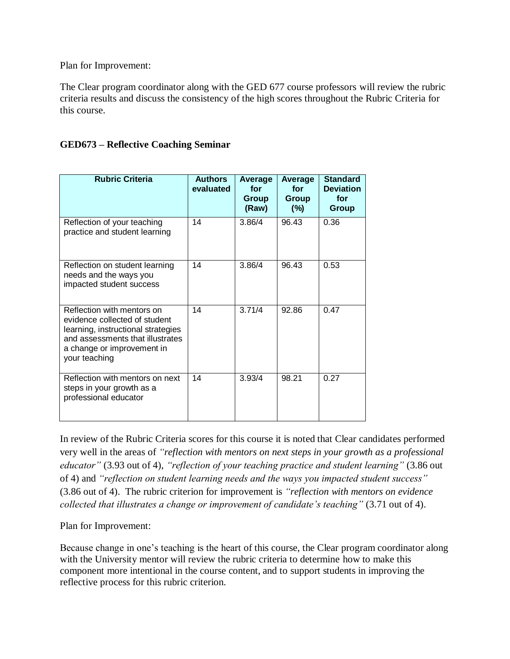Plan for Improvement:

The Clear program coordinator along with the GED 677 course professors will review the rubric criteria results and discuss the consistency of the high scores throughout the Rubric Criteria for this course.

### **GED673 – Reflective Coaching Seminar**

| <b>Rubric Criteria</b>                                                                                                                                                               | <b>Authors</b><br>evaluated | Average<br>for<br>Group<br>(Raw) | Average<br>for<br><b>Group</b><br>(%) | <b>Standard</b><br><b>Deviation</b><br>for<br>Group |
|--------------------------------------------------------------------------------------------------------------------------------------------------------------------------------------|-----------------------------|----------------------------------|---------------------------------------|-----------------------------------------------------|
| Reflection of your teaching<br>practice and student learning                                                                                                                         | 14                          | 3.86/4                           | 96.43                                 | 0.36                                                |
| Reflection on student learning<br>needs and the ways you<br>impacted student success                                                                                                 | 14                          | 3.86/4                           | 96.43                                 | 0.53                                                |
| Reflection with mentors on<br>evidence collected of student<br>learning, instructional strategies<br>and assessments that illustrates<br>a change or improvement in<br>your teaching | 14                          | 3.71/4                           | 92.86                                 | 0.47                                                |
| Reflection with mentors on next<br>steps in your growth as a<br>professional educator                                                                                                | 14                          | 3.93/4                           | 98.21                                 | 0.27                                                |

In review of the Rubric Criteria scores for this course it is noted that Clear candidates performed very well in the areas of *"reflection with mentors on next steps in your growth as a professional educator"* (3.93 out of 4), *"reflection of your teaching practice and student learning"* (3.86 out of 4) and *"reflection on student learning needs and the ways you impacted student success"* (3.86 out of 4). The rubric criterion for improvement is *"reflection with mentors on evidence collected that illustrates a change or improvement of candidate's teaching"* (3.71 out of 4).

Plan for Improvement:

Because change in one's teaching is the heart of this course, the Clear program coordinator along with the University mentor will review the rubric criteria to determine how to make this component more intentional in the course content, and to support students in improving the reflective process for this rubric criterion.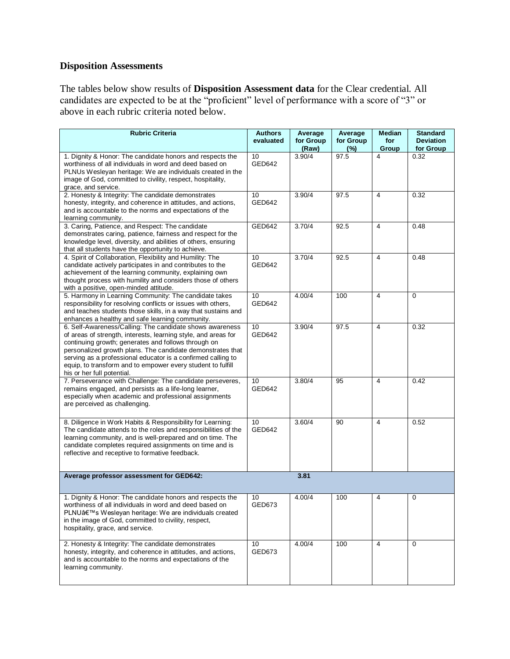## **Disposition Assessments**

The tables below show results of **Disposition Assessment data** for the Clear credential. All candidates are expected to be at the "proficient" level of performance with a score of "3" or above in each rubric criteria noted below.

| <b>Rubric Criteria</b>                                                                                                                                                                                                                                                                                                                                                                                       | <b>Authors</b><br>evaluated | Average<br>for Group<br>(Raw) | Average<br>for Group<br>(%) | <b>Median</b><br>for<br>Group | <b>Standard</b><br><b>Deviation</b><br>for Group |
|--------------------------------------------------------------------------------------------------------------------------------------------------------------------------------------------------------------------------------------------------------------------------------------------------------------------------------------------------------------------------------------------------------------|-----------------------------|-------------------------------|-----------------------------|-------------------------------|--------------------------------------------------|
| 1. Dignity & Honor: The candidate honors and respects the<br>worthiness of all individuals in word and deed based on<br>PLNUs Wesleyan heritage: We are individuals created in the<br>image of God, committed to civility, respect, hospitality,<br>grace, and service.                                                                                                                                      | 10<br>GED642                | 3.90/4                        | 97.5                        | 4                             | 0.32                                             |
| 2. Honesty & Integrity: The candidate demonstrates<br>honesty, integrity, and coherence in attitudes, and actions,<br>and is accountable to the norms and expectations of the<br>learning community.                                                                                                                                                                                                         | 10<br>GED642                | 3.90/4                        | 97.5                        | 4                             | 0.32                                             |
| 3. Caring, Patience, and Respect: The candidate<br>demonstrates caring, patience, fairness and respect for the<br>knowledge level, diversity, and abilities of others, ensuring<br>that all students have the opportunity to achieve.                                                                                                                                                                        | GED642                      | 3.70/4                        | 92.5                        | $\overline{\mathbf{4}}$       | 0.48                                             |
| 4. Spirit of Collaboration, Flexibility and Humility: The<br>candidate actively participates in and contributes to the<br>achievement of the learning community, explaining own<br>thought process with humility and considers those of others<br>with a positive, open-minded attitude.                                                                                                                     | 10 <sub>1</sub><br>GED642   | 3.70/4                        | 92.5                        | $\overline{4}$                | 0.48                                             |
| 5. Harmony in Learning Community: The candidate takes<br>responsibility for resolving conflicts or issues with others,<br>and teaches students those skills, in a way that sustains and<br>enhances a healthy and safe learning community.                                                                                                                                                                   | 10<br>GED642                | 4.00/4                        | 100                         | 4                             | 0                                                |
| 6. Self-Awareness/Calling: The candidate shows awareness<br>of areas of strength, interests, learning style, and areas for<br>continuing growth; generates and follows through on<br>personalized growth plans. The candidate demonstrates that<br>serving as a professional educator is a confirmed calling to<br>equip, to transform and to empower every student to fulfill<br>his or her full potential. | 10<br>GED642                | 3.90/4                        | 97.5                        | $\overline{4}$                | 0.32                                             |
| 7. Perseverance with Challenge: The candidate perseveres,<br>remains engaged, and persists as a life-long learner,<br>especially when academic and professional assignments<br>are perceived as challenging.                                                                                                                                                                                                 | 10<br>GED642                | 3.80/4                        | 95                          | $\overline{\mathbf{4}}$       | 0.42                                             |
| 8. Diligence in Work Habits & Responsibility for Learning:<br>The candidate attends to the roles and responsibilities of the<br>learning community, and is well-prepared and on time. The<br>candidate completes required assignments on time and is<br>reflective and receptive to formative feedback.                                                                                                      | 10<br>GED642                | 3.60/4                        | 90                          | 4                             | 0.52                                             |
| Average professor assessment for GED642:                                                                                                                                                                                                                                                                                                                                                                     |                             | 3.81                          |                             |                               |                                                  |
| 1. Dignity & Honor: The candidate honors and respects the<br>worthiness of all individuals in word and deed based on<br>PLNU's Wesleyan heritage: We are individuals created<br>in the image of God, committed to civility, respect,<br>hospitality, grace, and service.                                                                                                                                     | 10<br>GED673                | 4.00/4                        | 100                         | 4                             | 0                                                |
| 2. Honesty & Integrity: The candidate demonstrates<br>honesty, integrity, and coherence in attitudes, and actions,<br>and is accountable to the norms and expectations of the<br>learning community.                                                                                                                                                                                                         | 10<br>GED673                | 4.00/4                        | 100                         | 4                             | 0                                                |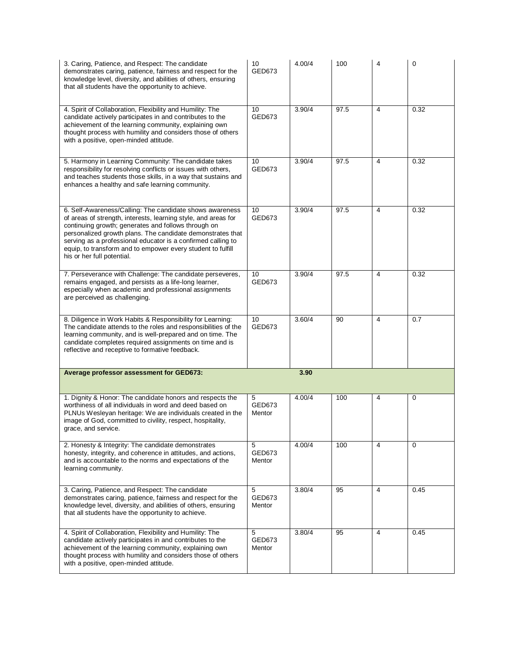| 3. Caring, Patience, and Respect: The candidate<br>demonstrates caring, patience, fairness and respect for the<br>knowledge level, diversity, and abilities of others, ensuring<br>that all students have the opportunity to achieve.                                                                                                                                                                        | 10<br>GED673              | 4.00/4 | 100  | $\overline{4}$          | 0    |
|--------------------------------------------------------------------------------------------------------------------------------------------------------------------------------------------------------------------------------------------------------------------------------------------------------------------------------------------------------------------------------------------------------------|---------------------------|--------|------|-------------------------|------|
| 4. Spirit of Collaboration, Flexibility and Humility: The<br>candidate actively participates in and contributes to the<br>achievement of the learning community, explaining own<br>thought process with humility and considers those of others<br>with a positive, open-minded attitude.                                                                                                                     | 10 <sup>°</sup><br>GED673 | 3.90/4 | 97.5 | 4                       | 0.32 |
| 5. Harmony in Learning Community: The candidate takes<br>responsibility for resolving conflicts or issues with others,<br>and teaches students those skills, in a way that sustains and<br>enhances a healthy and safe learning community.                                                                                                                                                                   | 10<br>GED673              | 3.90/4 | 97.5 | $\overline{\mathbf{4}}$ | 0.32 |
| 6. Self-Awareness/Calling: The candidate shows awareness<br>of areas of strength, interests, learning style, and areas for<br>continuing growth; generates and follows through on<br>personalized growth plans. The candidate demonstrates that<br>serving as a professional educator is a confirmed calling to<br>equip, to transform and to empower every student to fulfill<br>his or her full potential. | 10<br>GED673              | 3.90/4 | 97.5 | 4                       | 0.32 |
| 7. Perseverance with Challenge: The candidate perseveres,<br>remains engaged, and persists as a life-long learner,<br>especially when academic and professional assignments<br>are perceived as challenging.                                                                                                                                                                                                 | 10<br>GED673              | 3.90/4 | 97.5 | 4                       | 0.32 |
| 8. Diligence in Work Habits & Responsibility for Learning:<br>The candidate attends to the roles and responsibilities of the<br>learning community, and is well-prepared and on time. The<br>candidate completes required assignments on time and is<br>reflective and receptive to formative feedback.                                                                                                      | 10<br>GED673              | 3.60/4 | 90   | 4                       | 0.7  |
| Average professor assessment for GED673:                                                                                                                                                                                                                                                                                                                                                                     |                           | 3.90   |      |                         |      |
| 1. Dignity & Honor: The candidate honors and respects the<br>worthiness of all individuals in word and deed based on<br>PLNUs Wesleyan heritage: We are individuals created in the<br>image of God, committed to civility, respect, hospitality,<br>grace, and service.                                                                                                                                      | 5<br>GED673<br>Mentor     | 4.00/4 | 100  | 4                       | 0    |
| 2. Honesty & Integrity: The candidate demonstrates<br>honesty, integrity, and coherence in attitudes, and actions,<br>and is accountable to the norms and expectations of the<br>learning community.                                                                                                                                                                                                         | 5<br>GED673<br>Mentor     | 4.00/4 | 100  | 4                       | 0    |
| 3. Caring, Patience, and Respect: The candidate<br>demonstrates caring, patience, fairness and respect for the<br>knowledge level, diversity, and abilities of others, ensuring                                                                                                                                                                                                                              | 5<br>GED673               | 3.80/4 | 95   | 4                       | 0.45 |
| that all students have the opportunity to achieve.                                                                                                                                                                                                                                                                                                                                                           | Mentor                    |        |      |                         |      |